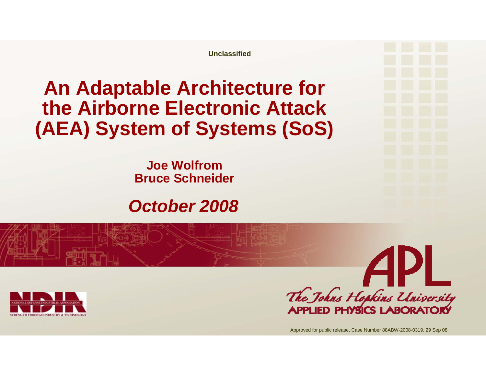**Unclassified**

#### **An Adaptable Architecture for the Airborne Electronic Attack (AEA) System of Systems (SoS)**

**Joe WolfromBruce Schneider**

*October 2008*





Approved for public release, Case Number 88ABW-2008-0319, 29 Sep 08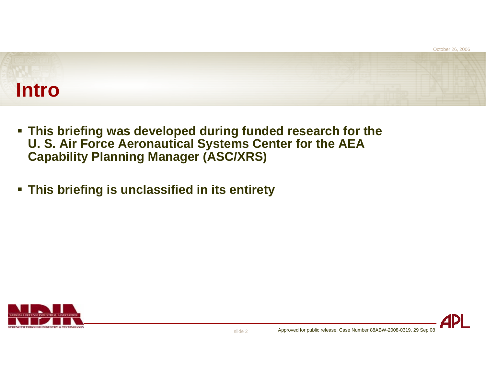

- **This briefing was developed during funded research for the U. S. Air Force Aeronautical Systems Center for the AEA Capability Planning Manager (ASC/XRS)**
- **This briefing is unclassified in its entirety**



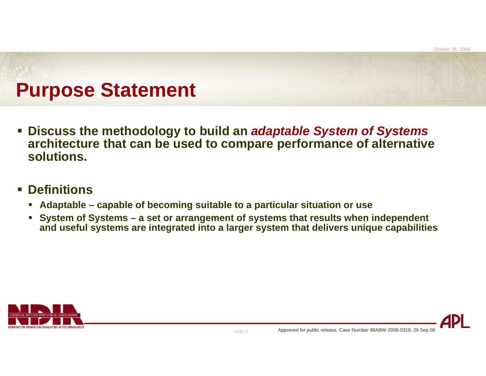October 26, 2006

#### **Purpose Statement**

 **Discuss the methodology to build an** *adaptable System of Systems* **architecture that can be used to compare performance of alternative solutions.**

#### $\overline{\phantom{a}}$ **Definitions**

- $\mathcal{L}_{\mathcal{A}}$ **Adaptable – capable of becoming suitable to a particular situation or use**
- $\mathcal{L}_{\mathcal{A}}$  **System of Systems – a set or arrangement of systems that results when independent and useful systems are integrated into a larger system that delivers unique capabilities**



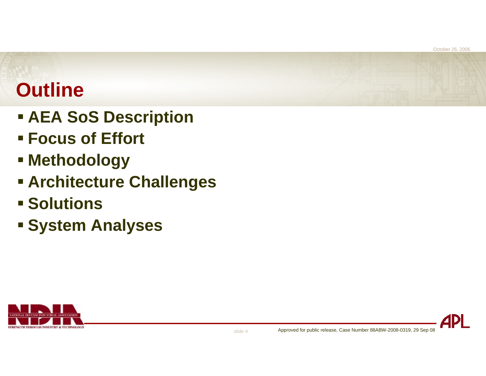#### **Outline**

- **AEA SoS Description**
- **Focus of Effort**
- **Methodology**
- **Architecture Challenges**
- **Solutions**
- **System Analyses**



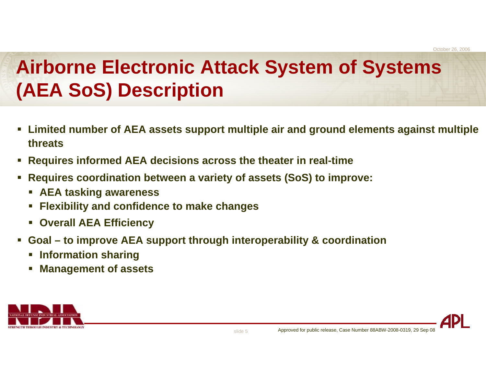## **Airborne Electronic Attack System of Systems (AEA SoS) Description**

- $\mathcal{L}_{\mathcal{A}}$  **Limited number of AEA assets support multiple air and ground elements against multiple threats**
- a. **Requires informed AEA decisions across the theater in real-time**
- a. **Requires coordination between a variety of assets (SoS) to improve:**
	- **AEA tasking awareness**
	- $\mathcal{L}_{\mathcal{A}}$ **Flexibility and confidence to make changes**
	- $\mathcal{L}_{\rm{max}}$ **Overall AEA Efficiency**
- **Goal – to improve AEA support through interoperability & coordination**
	- $\mathcal{L}_{\mathcal{A}}$ **Information sharing**
	- **Management of assets**



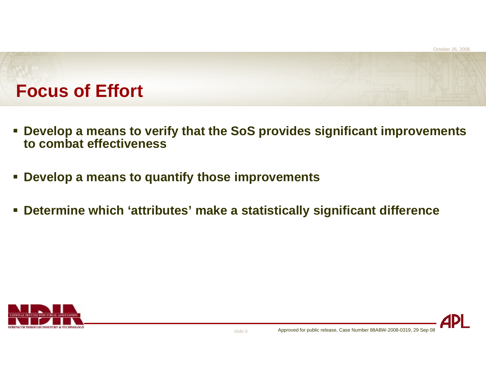#### **Focus of Effort**

- **Develop a means to verify that the SoS provides significant improvements to combat effectiveness**
- **Develop a means to quantify those improvements**
- **Determine which 'attributes' make a statistically significant difference**



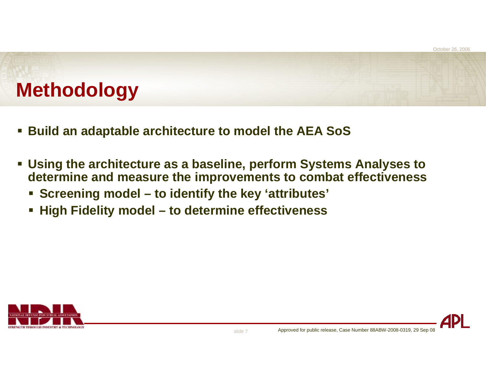## **Methodology**

- $\overline{\phantom{a}}$ **Build an adaptable architecture to model the AEA SoS**
- **Using the architecture as a baseline, perform Systems Analyses to determine and measure the improvements to combat effectiveness**
	- **Screening model – to identify the key 'attributes'**
	- **High Fidelity model – to determine effectiveness**



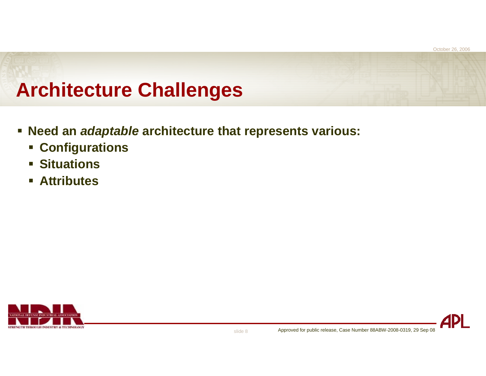#### **Architecture Challenges**

- $\blacksquare$  **Need an** *adaptable* **architecture that represents various:**
	- **Configurations**
	- **Situations**
	- **Attributes**





October 26, 2006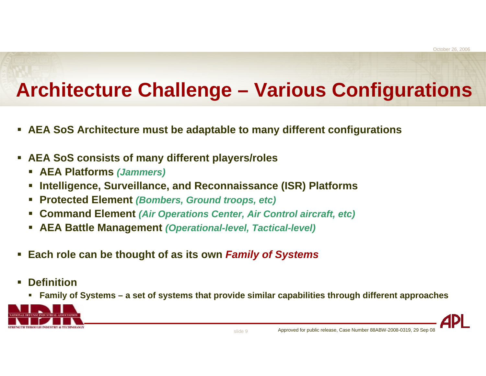## **Architecture Challenge – Various Configurations**

- **AEA SoS Architecture must be adaptable to many different configurations**
- **AEA SoS consists of many different players/roles**
	- **AEA Platforms** *(Jammers)*
	- $\mathcal{L}_{\mathcal{A}}$ **Intelligence, Surveillance, and Reconnaissance (ISR) Platforms**
	- $\mathcal{L}_{\mathcal{A}}$ **Protected Element** *(Bombers, Ground troops, etc)*
	- $\mathcal{L}_{\mathcal{A}}$ **Command Element** *(Air Operations Center, Air Control aircraft, etc)*
	- $\mathcal{L}_{\mathcal{A}}$ **AEA Battle Management** *(Operational-level, Tactical-level)*
- m. **Each role can be thought of as its own** *Family of Systems*
- $\mathcal{C}^{\mathcal{A}}$  **Definition**
	- Е **Family of Systems – a set of systems that provide similar capabilities through different approaches**



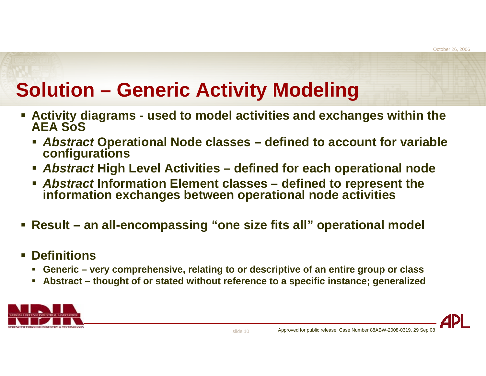## **Solution – Generic Activity Modeling**

- **Activity diagrams - used to model activities and exchanges within the AEA SoS**
	- *Abstract* **Operational Node classes – defined to account for variable configurations**
	- *Abstract* **High Level Activities – defined for each operational node**
	- *Abstract* **Information Element classes – defined to represent the information exchanges between operational node activities**
- $\mathcal{L}_{\mathcal{A}}$ **Result – an all-encompassing "one size fits all" operational model**
- $\mathcal{L}_{\mathcal{A}}$  **Definitions**
	- **Generic – very comprehensive, relating to or descriptive of an entire group or class**
	- **Abstract – thought of or stated without reference to a specific instance; generalized**



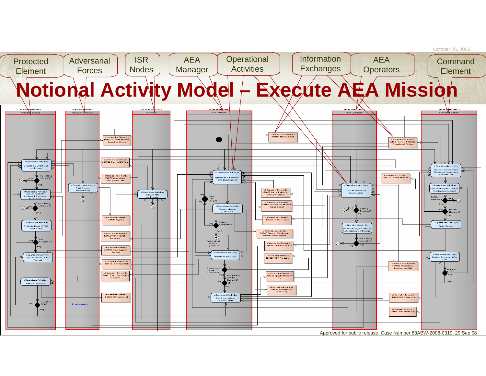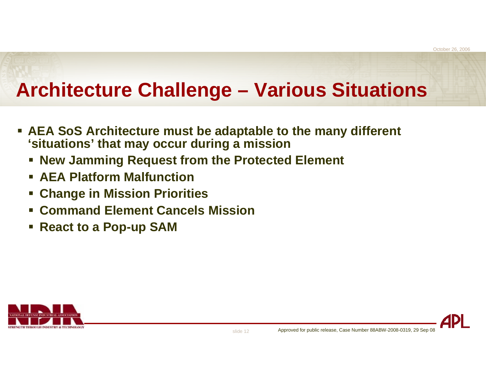#### **Architecture Challenge – Various Situations**

- **AEA SoS Architecture must be adaptable to the many different 'situations' that may occur during a mission**
	- **New Jamming Request from the Protected Element**
	- **AEA Platform Malfunction**
	- **Change in Mission Priorities**
	- $\mathcal{L}_{\mathcal{A}}$ **Command Element Cancels Mission**
	- **React to a Pop-up SAM**



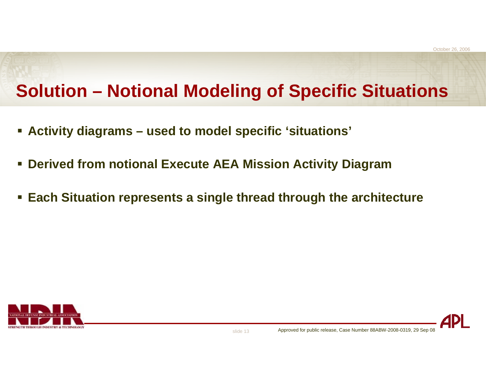#### **Solution – Notional Modeling of Specific Situations**

- **Activity diagrams – used to model specific 'situations'**
- **Derived from notional Execute AEA Mission Activity Diagram**
- **Each Situation represents a single thread through the architecture**



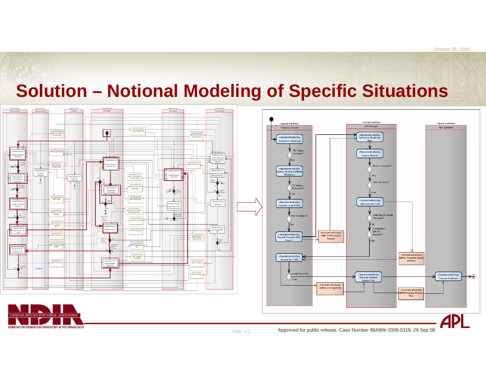#### **Solution – Notional Modeling of Specific Situations**

slide 14







Approved for public release, Case Number 88ABW-2008-0319, 29 Sep 08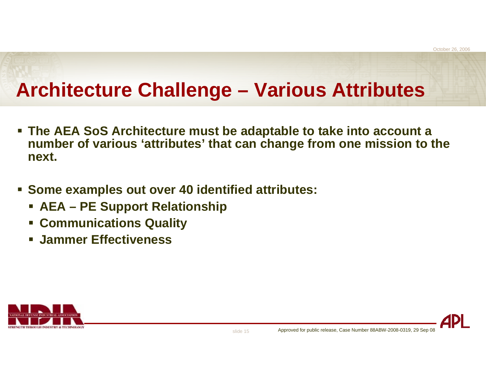#### **Architecture Challenge – Various Attributes**

- **The AEA SoS Architecture must be adaptable to take into account a number of various 'attributes' that can change from one mission to the next.**
- **Some examples out over 40 identified attributes:**
	- **AEA – PE Support Relationship**
	- **Communications Quality**
	- **Jammer Effectiveness**



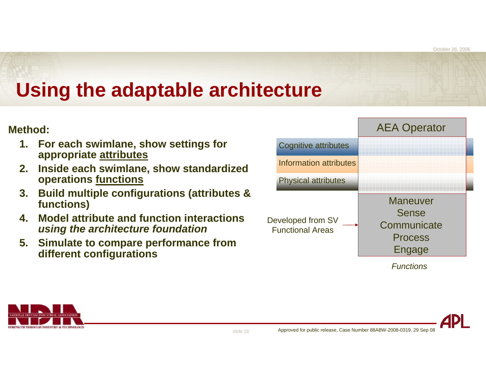### **Using the adaptable architecture**

#### **Method:**

- **1. For each swimlane, show settings for appropriate attributes**
- **2. Inside each swimlane, show standardized operations functions**
- **3. Build multiple configurations (attributes & functions)**
- **4. Model attribute and function interactions** *using the architecture foundation*
- **5. Simulate to compare performance from different configurations**

|                                              |                               | <b>AEA Operator</b>                                                        |  |  |  |
|----------------------------------------------|-------------------------------|----------------------------------------------------------------------------|--|--|--|
|                                              | <b>Cognitive attributes</b>   |                                                                            |  |  |  |
|                                              | <b>Information attributes</b> |                                                                            |  |  |  |
|                                              | <b>Physical attributes</b>    |                                                                            |  |  |  |
| Developed from SV<br><b>Functional Areas</b> |                               | <b>Maneuver</b><br><b>Sense</b><br>Communicate<br><b>Process</b><br>Engage |  |  |  |
|                                              |                               | Functions                                                                  |  |  |  |



Approved for public release, Case Number 88ABW-2008-0319, 29 Sep 08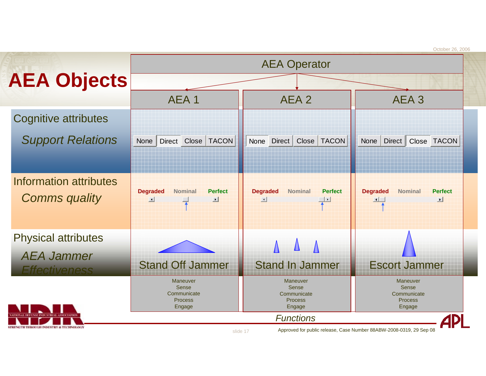

slide 17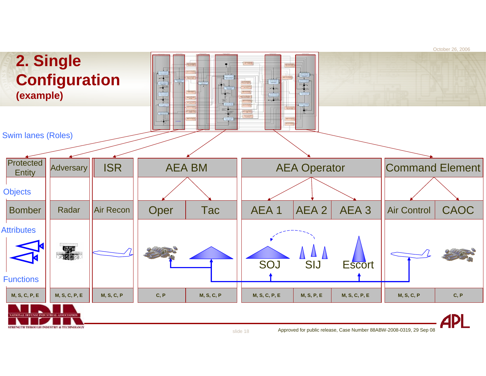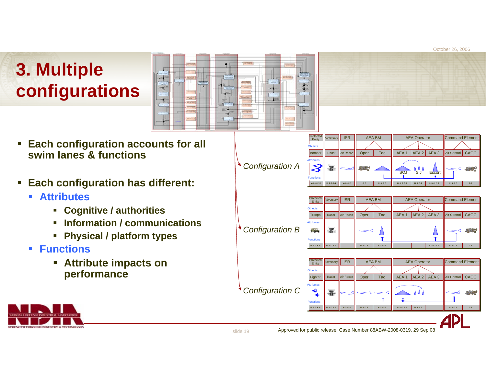October 26, 2006

## **3. Multiple configurations**



- L. **Each configuration accounts for all swim lanes & functions**
- $\overline{\phantom{a}}$  **Each configuration has different:**
	- $\mathcal{L}_{\mathcal{A}}$  **Attributes**
		- **Cognitive / authorities**
		- г **Information / communications**
		- г **Physical / platform types**
	- $\mathcal{L}_{\mathcal{A}}$  **Functions**
		- **Attribute impacts on performance**





Approved for public release, Case Number 88ABW-2008-0319, 29 Sep 08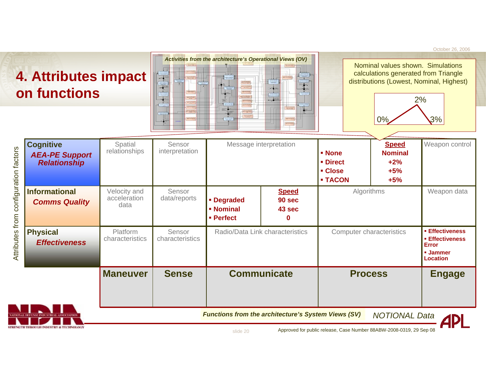#### **4. Attributes impact on functions**



Nominal values shown. Simulations calculations generated from Triangle distributions (Lowest, Nominal, Highest)



| <b>Cognitive</b><br><b>AEA-PE Support</b><br><b>Relationship</b> | Spatial<br>relationships             | Sensor<br>interpretation  | Message interpretation                                     |                                       | • None<br><b>- Direct</b><br>• Close<br><b>- TACON</b> | <b>Speed</b><br><b>Nominal</b><br>$+2%$<br>$+5%$<br>$+5%$ | Weapon control                                                                                   |
|------------------------------------------------------------------|--------------------------------------|---------------------------|------------------------------------------------------------|---------------------------------------|--------------------------------------------------------|-----------------------------------------------------------|--------------------------------------------------------------------------------------------------|
| <b>Informational</b><br><b>Comms Quality</b>                     | Velocity and<br>acceleration<br>data | Sensor<br>data/reports    | <b>- Degraded</b><br>• Nominal<br>■ Perfect                | <b>Speed</b><br>90 sec<br>43 sec<br>0 | Algorithms                                             |                                                           | Weapon data                                                                                      |
| <b>Physical</b><br><b>Effectiveness</b>                          | Platform<br>characteristics          | Sensor<br>characteristics | Radio/Data Link characteristics                            |                                       | Computer characteristics                               |                                                           | <b>Effectiveness</b><br><b>Effectiveness</b><br><b>Error</b><br><b>Jammer</b><br><b>Location</b> |
|                                                                  | <b>Maneuver</b>                      | <b>Sense</b>              | <b>Communicate</b>                                         |                                       | <b>Process</b>                                         |                                                           | <b>Engage</b>                                                                                    |
| DEFENSE PADE STREAL ASSOCIATION<br>.                             |                                      |                           | <b>Functions from the architecture's System Views (SV)</b> |                                       |                                                        | NOTIONAL Data AN                                          |                                                                                                  |

STRENGTH THROUGH INDUSTRY & TECHNOLOGY

**NATIONA** 

**APL** Approved for public release, Case Number 88ABW-2008-0319, 29 Sep 08

slide 20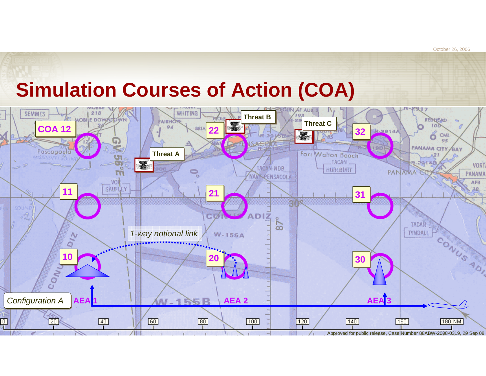#### **Simulation Courses of Action (COA)**

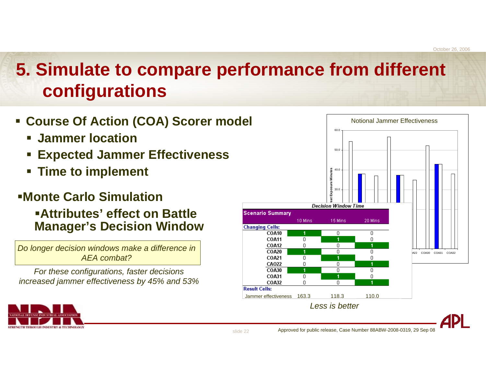#### **5. Simulate to compare performance from different configurations**

- **Course Of Action (COA) Scorer model**
	- **Jammer location**
	- **Expected Jammer Effectiveness**
	- **Time to implement**

# **Manager's Decision Window**

*Do longer decision windows make a difference in AEA combat?*

*For these configurations, faster decisions increased jammer effectiveness by 45% and 53%*



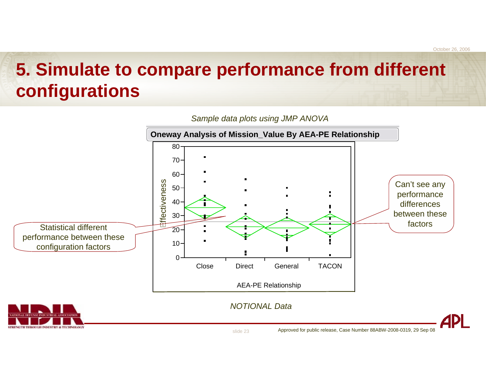#### **5. Simulate to compare performance from different configurations**



*Sample data plots using JMP ANOVA*

*NOTIONAL Data*

slide 23

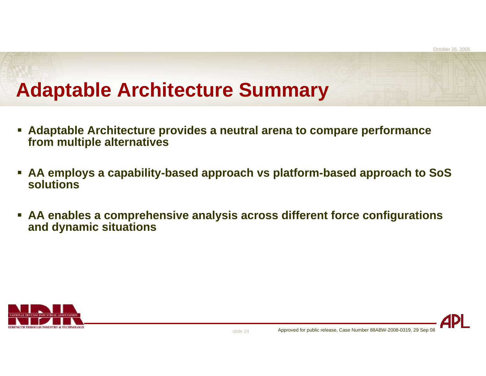#### **Adaptable Architecture Summary**

- **Adaptable Architecture provides a neutral arena to compare performance from multiple alternatives**
- **AA employs a capability-based approach vs platform-based approach to SoS solutions**
- **AA enables a comprehensive analysis across different force configurations and dynamic situations**